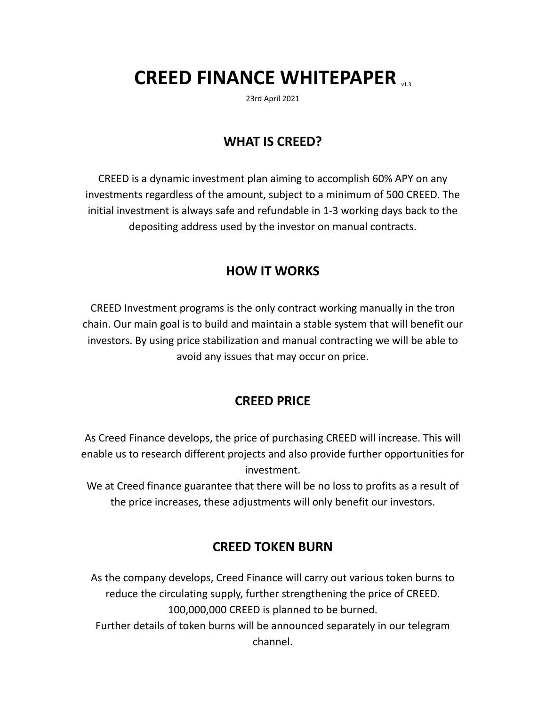# **CREED FINANCE WHITEPAPER**

23rd April 2021

#### **WHAT IS CREED?**

CREED is a dynamic investment plan aiming to accomplish 60% APY on any investments regardless of the amount, subject to a minimum of 500 CREED. The initial investment is always safe and refundable in 1-3 working days back to the depositing address used by the investor on manual contracts.

#### **HOW IT WORKS**

CREED Investment programs is the only contract working manually in the tron chain. Our main goal is to build and maintain a stable system that will benefit our investors. By using price stabilization and manual contracting we will be able to avoid any issues that may occur on price.

#### **CREED PRICE**

As Creed Finance develops, the price of purchasing CREED will increase. This will enable us to research different projects and also provide further opportunities for investment.

We at Creed finance guarantee that there will be no loss to profits as a result of the price increases, these adjustments will only benefit our investors.

#### **CREED TOKEN BURN**

As the company develops, Creed Finance will carry out various token burns to reduce the circulating supply, further strengthening the price of CREED. 100,000,000 CREED is planned to be burned. Further details of token burns will be announced separately in our telegram channel.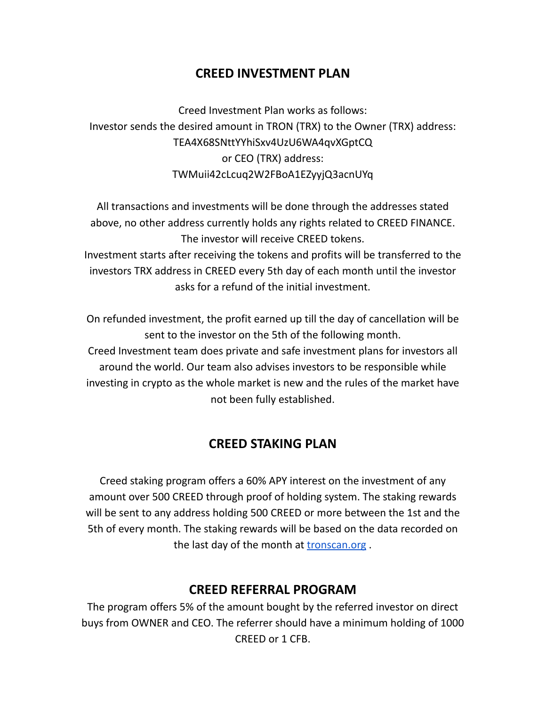### **CREED INVESTMENT PLAN**

Creed Investment Plan works as follows: Investor sends the desired amount in TRON (TRX) to the Owner (TRX) address: TEA4X68SNttYYhiSxv4UzU6WA4qvXGptCQ or CEO (TRX) address: TWMuii42cLcuq2W2FBoA1EZyyjQ3acnUYq

All transactions and investments will be done through the addresses stated above, no other address currently holds any rights related to CREED FINANCE. The investor will receive CREED tokens. Investment starts after receiving the tokens and profits will be transferred to the investors TRX address in CREED every 5th day of each month until the investor asks for a refund of the initial investment.

On refunded investment, the profit earned up till the day of cancellation will be sent to the investor on the 5th of the following month. Creed Investment team does private and safe investment plans for investors all around the world. Our team also advises investors to be responsible while investing in crypto as the whole market is new and the rules of the market have not been fully established.

#### **CREED STAKING PLAN**

Creed staking program offers a 60% APY interest on the investment of any amount over 500 CREED through proof of holding system. The staking rewards will be sent to any address holding 500 CREED or more between the 1st and the 5th of every month. The staking rewards will be based on the data recorded on the last day of the month at **[tronscan.org](http://tronscan.org)**.

#### **CREED REFERRAL PROGRAM**

The program offers 5% of the amount bought by the referred investor on direct buys from OWNER and CEO. The referrer should have a minimum holding of 1000 CREED or 1 CFB.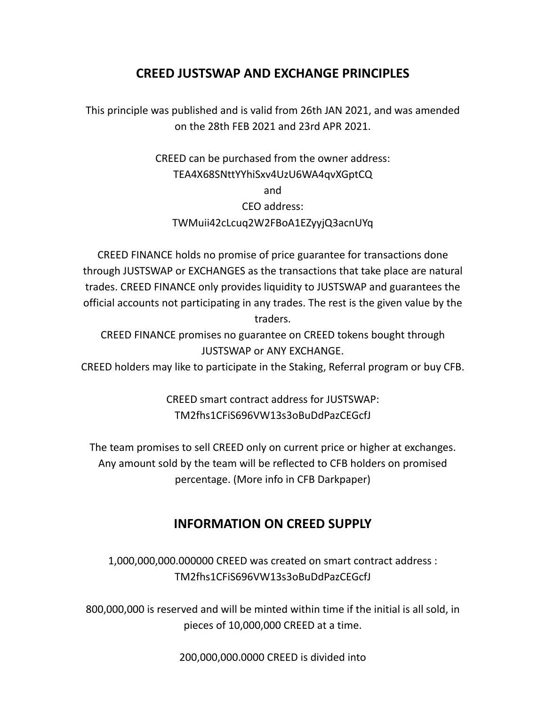#### **CREED JUSTSWAP AND EXCHANGE PRINCIPLES**

This principle was published and is valid from 26th JAN 2021, and was amended on the 28th FEB 2021 and 23rd APR 2021.

> CREED can be purchased from the owner address: TEA4X68SNttYYhiSxv4UzU6WA4qvXGptCQ and CEO address: TWMuii42cLcuq2W2FBoA1EZyyjQ3acnUYq

CREED FINANCE holds no promise of price guarantee for transactions done through JUSTSWAP or EXCHANGES as the transactions that take place are natural trades. CREED FINANCE only provides liquidity to JUSTSWAP and guarantees the official accounts not participating in any trades. The rest is the given value by the traders.

CREED FINANCE promises no guarantee on CREED tokens bought through JUSTSWAP or ANY EXCHANGE.

CREED holders may like to participate in the Staking, Referral program or buy CFB.

CREED smart contract address for JUSTSWAP: TM2fhs1CFiS696VW13s3oBuDdPazCEGcfJ

The team promises to sell CREED only on current price or higher at exchanges. Any amount sold by the team will be reflected to CFB holders on promised percentage. (More info in CFB Darkpaper)

## **INFORMATION ON CREED SUPPLY**

1,000,000,000.000000 CREED was created on smart contract address : TM2fhs1CFiS696VW13s3oBuDdPazCEGcfJ

800,000,000 is reserved and will be minted within time if the initial is all sold, in pieces of 10,000,000 CREED at a time.

200,000,000.0000 CREED is divided into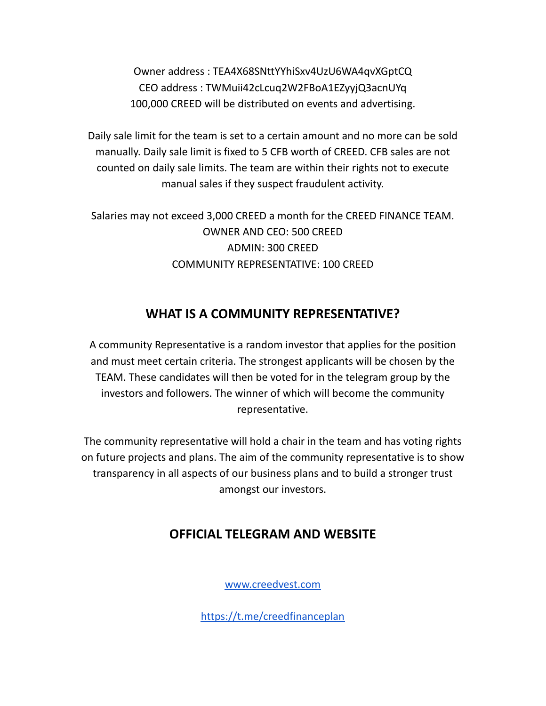Owner address : TEA4X68SNttYYhiSxv4UzU6WA4qvXGptCQ CEO address : TWMuii42cLcuq2W2FBoA1EZyyjQ3acnUYq 100,000 CREED will be distributed on events and advertising.

Daily sale limit for the team is set to a certain amount and no more can be sold manually. Daily sale limit is fixed to 5 CFB worth of CREED. CFB sales are not counted on daily sale limits. The team are within their rights not to execute manual sales if they suspect fraudulent activity.

Salaries may not exceed 3,000 CREED a month for the CREED FINANCE TEAM. OWNER AND CEO: 500 CREED ADMIN: 300 CREED COMMUNITY REPRESENTATIVE: 100 CREED

## **WHAT IS A COMMUNITY REPRESENTATIVE?**

A community Representative is a random investor that applies for the position and must meet certain criteria. The strongest applicants will be chosen by the TEAM. These candidates will then be voted for in the telegram group by the investors and followers. The winner of which will become the community representative.

The community representative will hold a chair in the team and has voting rights on future projects and plans. The aim of the community representative is to show transparency in all aspects of our business plans and to build a stronger trust amongst our investors.

## **OFFICIAL TELEGRAM AND WEBSITE**

[www.creedvest.com](http://www.creedvest.com)

<https://t.me/creedfinanceplan>